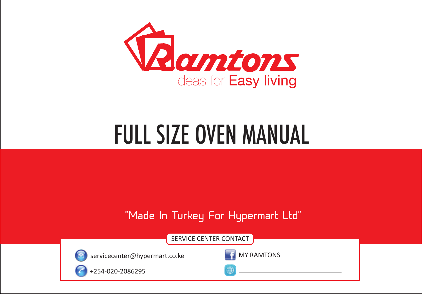

# FULL SIZE OVEN MANUAL

# **"Made In Turkey For Hypermart Ltd"**

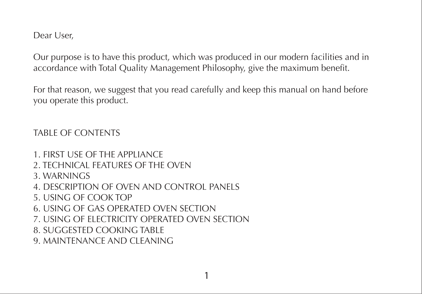Dear User,

Our purpose is to have this product, which was produced in our modern facilities and in accordance with Total Quality Management Philosophy, give the maximum benefit.

For that reason, we suggest that you read carefully and keep this manual on hand before you operate this product.

# TABLE OF CONTENTS

- 1. FIRST USE OF THE APPLIANCE 2. TECHNICAL FEATURES OF THE OVEN 3. WARNINGS
- 4. DESCRIPTION OF OVEN AND CONTROL PANELS
- 5. USING OF COOK TOP
- 6. USING OF GAS OPERATED OVEN SECTION
- 7. USING OF ELECTRICITY OPERATED OVEN SECTION
- 8. SUGGESTED COOKING TABLE
- 9. MAINTENANCE AND CLEANING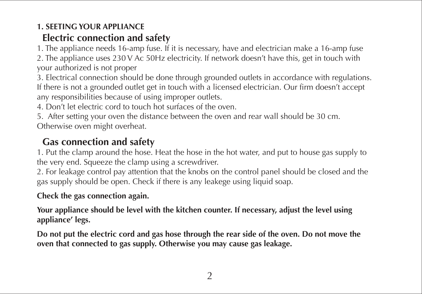# **1. SEETING YOUR APPLIANCE**

# **Electric connection and safety**

1. The appliance needs 16-amp fuse. If it is necessary, have and electrician make a 16-amp fuse 2. The appliance uses 230 V Ac 50Hz electricity. If network doesn't have this, get in touch with your authorized is not proper

3. Electrical connection should be done through grounded outlets in accordance with regulations. If there is not a grounded outlet get in touch with a licensed electrician. Our firm doesn't accept any responsibilities because of using improper outlets.

4. Don't let electric cord to touch hot surfaces of the oven.

5. After setting your oven the distance between the oven and rear wall should be 30 cm. Otherwise oven might overheat.

# **Gas connection and safety**

1. Put the clamp around the hose. Heat the hose in the hot water, and put to house gas supply to the very end. Squeeze the clamp using a screwdriver.

2. For leakage control pay attention that the knobs on the control panel should be closed and the gas supply should be open. Check if there is any leakege using liquid soap.

# **Check the gas connection again.**

**Your appliance should be level with the kitchen counter. If necessary, adjust the level using appliance' legs.** 

**Do not put the electric cord and gas hose through the rear side of the oven. Do not move the oven that connected to gas supply. Otherwise you may cause gas leakage.**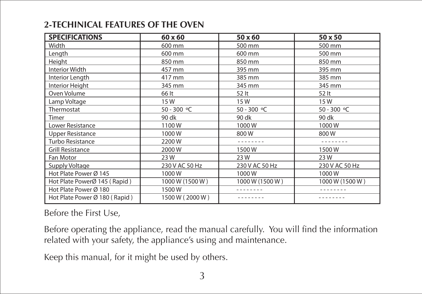# **2-TECHINICAL FEATURES OF THE OVEN**

| <b>SPECIFICATIONS</b>         | 60 x 60         | 50 x 60         | 50 x 50         |
|-------------------------------|-----------------|-----------------|-----------------|
| Width                         | 600 mm          | 500 mm          | 500 mm          |
| Length                        | 600 mm          | 600 mm          | 500 mm          |
| Height                        | 850 mm          | 850 mm          | 850 mm          |
| <b>Interior Width</b>         | 457 mm          | 395 mm          | 395 mm          |
| Interior Length               | 417 mm          | 385 mm          | 385 mm          |
| Interior Height               | 345 mm          | 345 mm          | 345 mm          |
| Oven Volume                   | 66 lt           | 52 lt           | 52 lt           |
| Lamp Voltage                  | 15W             | 15W             | 15W             |
| Thermostat                    | 50 - 300 °C     | 50 - 300 °C     | 50 - 300 °C     |
| Timer                         | 90 dk           | 90 dk           | 90 dk           |
| Lower Resistance              | 1100W           | 1000W           | 1000W           |
| <b>Upper Resistance</b>       | 1000W           | 800W            | 800W            |
| Turbo Resistance              | 2200W           |                 |                 |
| <b>Grill Resistance</b>       | 2000W           | 1500W           | 1500W           |
| Fan Motor                     | 23 W            | 23 W            | 23W             |
| Supply Voltage                | 230 V AC 50 Hz  | 230 V AC 50 Hz  | 230 V AC 50 Hz  |
| Hot Plate Power Ø 145         | 1000W           | 1000W           | 1000W           |
| Hot Plate PowerØ 145 (Rapid)  | 1000 W (1500 W) | 1000 W (1500 W) | 1000 W (1500 W) |
| Hot Plate Power Ø 180         | 1500W           |                 |                 |
| Hot Plate Power Ø 180 (Rapid) | 1500 W (2000 W) |                 |                 |

**Before the First Use,** 

Before operating the appliance, read the manual carefully. You will find the information related with your safety, the appliance's using and maintenance.

Keep this manual, for it might be used by others.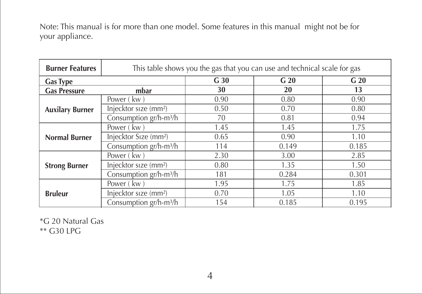Note: This manual is for more than one model. Some features in this manual might not be for your appliance.

| <b>Burner Features</b> | This table shows you the gas that you can use and technical scale for gas |                 |                 |                 |  |
|------------------------|---------------------------------------------------------------------------|-----------------|-----------------|-----------------|--|
| <b>Gas Type</b>        |                                                                           | G <sub>30</sub> | G <sub>20</sub> | G <sub>20</sub> |  |
| <b>Gas Pressure</b>    | mbar                                                                      | 30              | 20              | 13              |  |
| <b>Auxilary Burner</b> | Power (kw)                                                                | 0.90            | 0.80            | 0.90            |  |
|                        | Injecktor size (mm <sup>2</sup> )                                         | 0.50            | 0.70            | 0.80            |  |
|                        | Consumption gr/h-m <sup>3</sup> /h                                        | 70              | 0.81            | 0.94            |  |
| Normal Burner          | Power (kw)                                                                | 1.45            | 1.45            | 1.75            |  |
|                        | Injecktor Size (mm <sup>2</sup> )                                         | 0.65            | 0.90            | 1.10            |  |
|                        | Consumption gr/h-m <sup>3</sup> /h                                        | 114             | 0.149           | 0.185           |  |
| <b>Strong Burner</b>   | Power (kw)                                                                | 2.30            | 3.00            | 2.85            |  |
|                        | Injecktor size (mm <sup>2</sup> )                                         | 0.80            | 1.35            | 1.50            |  |
|                        | Consumption gr/h-m <sup>3</sup> /h                                        | 181             | 0.284           | 0.301           |  |
| <b>Bruleur</b>         | Power (kw)                                                                | 1.95            | 1.75            | 1.85            |  |
|                        | Injecktor size (mm <sup>2</sup> )                                         | 0.70            | 1.05            | 1.10            |  |
|                        | Consumption gr/h-m <sup>3</sup> /h                                        | 154             | 0.185           | 0.195           |  |

\*G 20 Natural Gas \*\* G30 LPG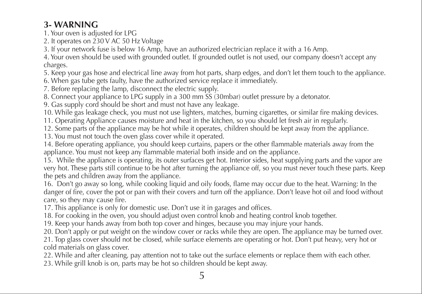# **3- WARNING**

1. Your oven is adjusted for LPG

2. It operates on 230 V AC 50 Hz Voltage

3. If your network fuse is below 16 Amp, have an authorized electrician replace it with a 16 Amp.

4. Your oven should be used with grounded outlet. If grounded outlet is not used, our company doesn't accept any charges.

5. Keep your gas hose and electrical line away from hot parts, sharp edges, and don't let them touch to the appliance.

6. When gas tube gets faulty, have the authorized service replace it immediately.

7. Before replacing the lamp, disconnect the electric supply.

8. Connect your appliance to LPG supply in a 300 mm SS (30mbar) outlet pressure by a detonator.

9. Gas supply cord should be short and must not have any leakage.

10. While gas leakage check, you must not use lighters, matches, burning cigarettes, or similar fire making devices.

11. Operating Appliance causes moisture and heat in the kitchen, so you should let fresh air in regularly.

12. Some parts of the appliance may be hot while it operates, children should be kept away from the appliance.

13. You must not touch the oven glass cover while it operated.

14. Before operating appliance, you should keep curtains, papers or the other flammable materials away from the appliance. You must not keep any flammable material both inside and on the appliance.

15. While the appliance is operating, its outer surfaces get hot. Interior sides, heat supplying parts and the vapor are very hot. These parts still continue to be hot after turning the appliance off, so you must never touch these parts. Keep the pets and children away from the appliance.

16. Don't go away so long, while cooking liquid and oily foods, flame may occur due to the heat. Warning: In the danger of fire, cover the pot or pan with their covers and turn off the appliance. Don't leave hot oil and food without care, so they may cause fire.

17. This appliance is only for domestic use. Don't use it in garages and offices.

18. For cooking in the oven, you should adjust oven control knob and heating control knob together.

19. Keep your hands away from both top cover and hinges, because you may injure your hands.

20. Don't apply or put weight on the window cover or racks while they are open. The appliance may be turned over.

21. Top glass cover should not be closed, while surface elements are operating or hot. Don't put heavy, very hot or cold materials on glass cover.

22. While and after cleaning, pay attention not to take out the surface elements or replace them with each other.

23. While grill knob is on, parts may be hot so children should be kept away.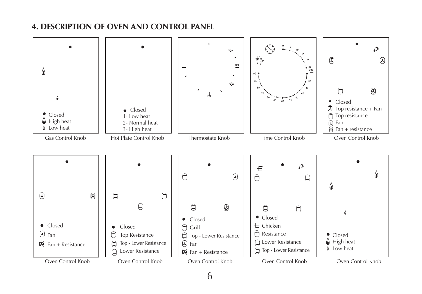## **4. DESCRIPTION OF OVEN AND CONTROL PANEL**

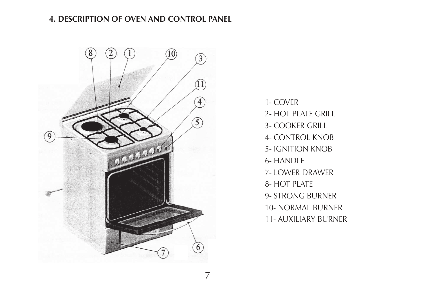## **4. DESCRIPTION OF OVEN AND CONTROL PANEL**



1- COVER 2- HOT PLATE GRILL 3- COOKER GRILL 4- CONTROL KNOB 5- IGNITION KNOB 6- HANDLE 7- LOWER DRAWER 8- HOT PLATE 9- STRONG BURNER 10- NORMAL BURNER 11- AUXILIARY BURNER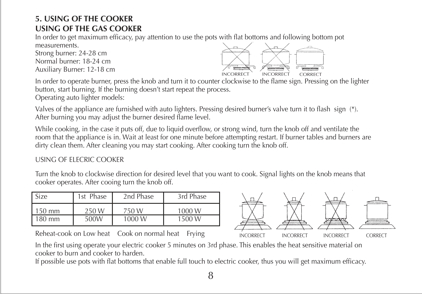# **5. USING OF THE COOKER USING OF THE GAS COOKER**

In order to get maximum efficacy, pay attention to use the pots with flat bottoms and following bottom pot measurements.

Strong burner: 24-28 cm Normal burner: 18-24 cm Auxiliary Burner: 12-18 cm



In order to operate burner, press the knob and turn it to counter clockwise to the flame sign. Pressing on the lighter button, start burning. If the burning doesn't start repeat the process.

Operating auto lighter models:

Valves of the appliance are furnished with auto lighters. Pressing desired burner's valve turn it to flash sign (\*). After burning you may adjust the burner desired flame level.

While cooking, in the case it puts off, due to liquid overflow, or strong wind, turn the knob off and ventilate the room that the appliance is in. Wait at least for one minute before attempting restart. If burner tables and burners are dirty clean them. After cleaning you may start cooking. After cooking turn the knob off.

#### USING OF ELECRIC COOKER

Turn the knob to clockwise direction for desired level that you want to cook. Signal lights on the knob means that cooker operates. After cooing turn the knob off.

| Size            | 1st Phase | 2nd Phase | 3rd Phase |
|-----------------|-----------|-----------|-----------|
| 50 mm           | 250W      | 750 W     | 1000 W    |
| $80 \text{ mm}$ | 500W      | 1000 W    | 1500 W    |

Reheat-cook on Low heat Cook on normal heat Frying



In the first using operate your electric cooker 5 minutes on 3rd phase. This enables the heat sensitive material on cooker to burn and cooker to harden.

If possible use pots with flat bottoms that enable full touch to electric cooker, thus you will get maximum efficacy.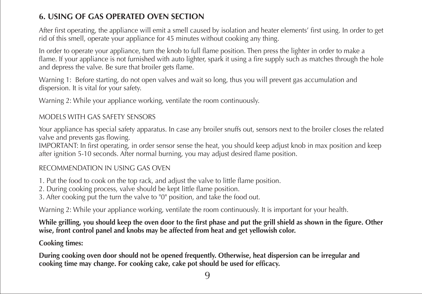# **6. USING OF GAS OPERATED OVEN SECTION**

After first operating, the appliance will emit a smell caused by isolation and heater elements' first using. In order to get rid of this smell, operate your appliance for 45 minutes without cooking any thing.

In order to operate your appliance, turn the knob to full flame position. Then press the lighter in order to make a flame. If your appliance is not furnished with auto lighter, spark it using a fire supply such as matches through the hole and depress the valve. Be sure that broiler gets flame.

Warning 1: Before starting, do not open valves and wait so long, thus you will prevent gas accumulation and dispersion. It is vital for your safety.

Warning 2: While your appliance working, ventilate the room continuously.

#### MODELS WITH GAS SAFETY SENSORS

Your appliance has special safety apparatus. In case any broiler snuffs out, sensors next to the broiler closes the related valve and prevents gas flowing.

IMPORTANT: In first operating, in order sensor sense the heat, you should keep adjust knob in max position and keep after ignition 5-10 seconds. After normal burning, you may adjust desired flame position.

#### RECOMMENDATION IN USING GAS OVEN

- 1. Put the food to cook on the top rack, and adjust the valve to little flame position.
- 2. During cooking process, valve should be kept little flame position.
- 3. After cooking put the turn the valve to "0" position, and take the food out.

Warning 2: While your appliance working, ventilate the room continuously. It is important for your health.

#### **While grilling, you should keep the oven door to the first phase and put the grill shield as shown in the figure. Other wise, front control panel and knobs may be affected from heat and get yellowish color.**

#### **Cooking times:**

**During cooking oven door should not be opened frequently. Otherwise, heat dispersion can be irregular and cooking time may change. For cooking cake, cake pot should be used for efficacy.**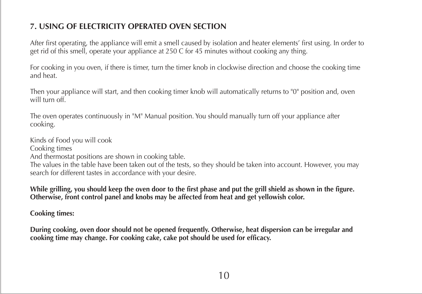# **7. USING OF ELECTRICITY OPERATED OVEN SECTION**

After first operating, the appliance will emit a smell caused by isolation and heater elements' first using. In order to get rid of this smell, operate your appliance at 250 C for 45 minutes without cooking any thing.

For cooking in you oven, if there is timer, turn the timer knob in clockwise direction and choose the cooking time and heat.

Then your appliance will start, and then cooking timer knob will automatically returns to "0" position and, oven will turn off.

The oven operates continuously in "M" Manual position. You should manually turn off your appliance after cooking.

Kinds of Food you will cook Cooking times And thermostat positions are shown in cooking table. The values in the table have been taken out of the tests, so they should be taken into account. However, you may search for different tastes in accordance with your desire.

**While grilling, you should keep the oven door to the first phase and put the grill shield as shown in the figure. Otherwise, front control panel and knobs may be affected from heat and get yellowish color.** 

**Cooking times:**

**During cooking, oven door should not be opened frequently. Otherwise, heat dispersion can be irregular and cooking time may change. For cooking cake, cake pot should be used for efficacy.**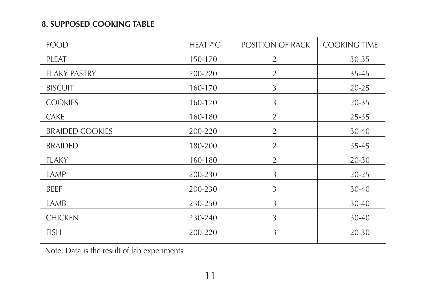# **8. SUPPOSED COOKING TABLE**

| <b>FOOD</b>            | HEAT $\sqrt{\ }$ C | POSITION OF RACK | <b>COOKING TIME</b> |
|------------------------|--------------------|------------------|---------------------|
| PLEAT                  | 150-170            | 2                | 30-35               |
| <b>FLAKY PASTRY</b>    | 200-220            | $\overline{2}$   | 35-45               |
| <b>BISCUIT</b>         | 160-170            | 3                | $20 - 25$           |
| <b>COOKIES</b>         | 160-170            | 3                | 20-35               |
| CAKE                   | 160-180            | $\overline{2}$   | 25-35               |
| <b>BRAIDED COOKIES</b> | 200-220            | $\overline{2}$   | 30-40               |
| <b>BRAIDED</b>         | 180-200            | $\overline{2}$   | 35-45               |
| <b>FLAKY</b>           | 160-180            | $\overline{2}$   | $20 - 30$           |
| LAMP                   | 200-230            | 3                | $20 - 25$           |
| <b>BEEF</b>            | 200-230            | 3                | 30-40               |
| LAMB                   | 230-250            | 3                | 30-40               |
| <b>CHICKEN</b>         | 230-240            | 3                | 30-40               |
| <b>FISH</b>            | 200-220            | 3                | 20-30               |

Note: Data is the result of lab experiments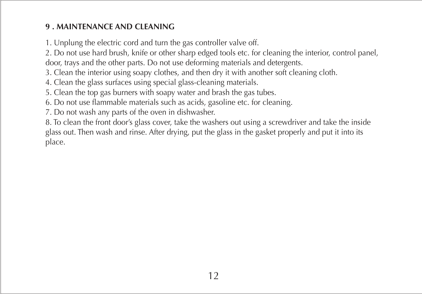# **9 . MAINTENANCE AND CLEANING**

1. Unplung the electric cord and turn the gas controller valve off.

2. Do not use hard brush, knife or other sharp edged tools etc. for cleaning the interior, control panel, door, trays and the other parts. Do not use deforming materials and detergents.

3. Clean the interior using soapy clothes, and then dry it with another soft cleaning cloth.

4. Clean the glass surfaces using special glass-cleaning materials.

5. Clean the top gas burners with soapy water and brash the gas tubes.

6. Do not use flammable materials such as acids, gasoline etc. for cleaning.

7. Do not wash any parts of the oven in dishwasher.

8. To clean the front door's glass cover, take the washers out using a screwdriver and take the inside glass out. Then wash and rinse. After drying, put the glass in the gasket properly and put it into its place.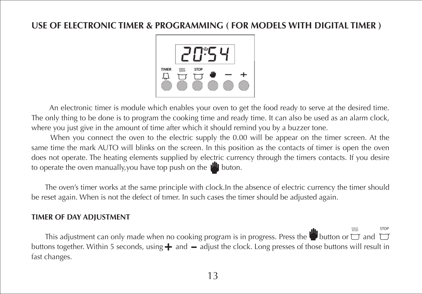# **USE OF ELECTRONIC TIMER & PROGRAMMING ( FOR MODELS WITH DIGITAL TIMER )**



 An electronic timer is module which enables your oven to get the food ready to serve at the desired time. The only thing to be done is to program the cooking time and ready time. It can also be used as an alarm clock, where you just give in the amount of time after which it should remind you by a buzzer tone.

When you connect the oven to the electric supply the 0.00 will be appear on the timer screen. At the same time the mark AUTO will blinks on the screen. In this position as the contacts of timer is open the oven does not operate. The heating elements supplied by electric currency through the timers contacts. If you desire to operate the oven manually, you have top push on the  $\mathbb{P}$  buton.

The oven's timer works at the same principle with clock.In the absence of electric currency the timer should be reset again. When is not the defect of tımer. In such cases the timer should be adjusted again.

#### **TIMER OF DAY ADJUSTMENT**

This adjustment can only made when no cooking program is in progress. Press the button or  $\overline{C}$  and  $\overline{C}$ buttons together. Within 5 seconds, using  $+$  and  $-$  adjust the clock. Long presses of those buttons will result in fast changes. STOP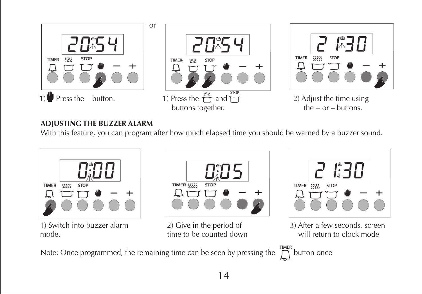

#### **ADJUSTING THE BUZZER ALARM**

With this feature, you can program after how much elapsed time you should be warned by a buzzer sound.



Note: Once programmed, the remaining time can be seen by pressing the  $\bigcap_{n=1}^{\text{TIME}}$  button once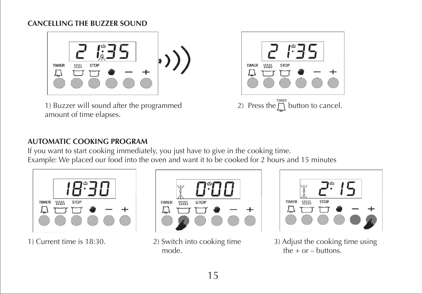## **CANCELLING THE BUZZER SOUND**



1) Buzzer will sound after the programmed amount of time elapses.



## **AUTOMATIC COOKING PROGRAM**

If you want to start cooking immediately, you just have to give in the cooking time. Example: We placed our food into the oven and want it to be cooked for 2 hours and 15 minutes





mode. the  $+$  or  $-$  buttons.



1) Current time is 18:30. 2) Switch into cooking time 3) Adjust the cooking time using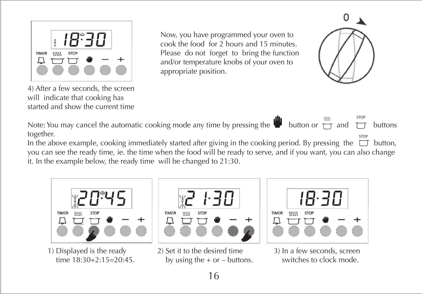

started and show the current time

4) After a few seconds, the screen will indicate that cooking has

Now, you have programmed your oven to cook the food for 2 hours and 15 minutes. Please do not forget to bring the function and/or temperature knobs of your oven to appropriate position.



STOP Note: You may cancel the automatic cooking mode any time by pressing the button or  $\overline{m}$  and  $\overline{m}$  buttons together.

stop<br>In the above example, cooking immediately started after giving in the cooking period. By pressing the  $\Box$  button, you can see the ready time, ie. the time when the food will be ready to serve, and if you want, you can also change it. In the example below, the ready time will be changed to 21:30.





1) Displayed is the ready 2) Set it to the desired time 3) In a few seconds, screen time  $18:30+2:15=20:45$ . by using the  $+$  or – buttons. switches to clock mode.

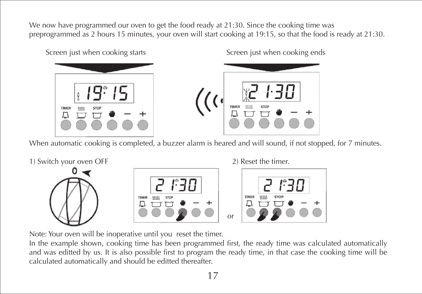We now have programmed our oven to get the food ready at 21:30. Since the cooking time was preprogrammed as 2 hours 15 minutes, your oven will start cooking at 19:15, so that the food is ready at 21:30.



Screen just when cooking starts Screen just when cooking ends



When automatic cooking is completed, a buzzer alarm is heared and will sound, if not stopped, for 7 minutes.



Note: Your oven will be inoperative until you reset the timer.

In the example shown, cooking time has been programmed first, the ready time was calculated automatically and was editted by us. It is also possible first to program the ready time, in that case the cooking time will be calculated automatically and should be editted thereafter.